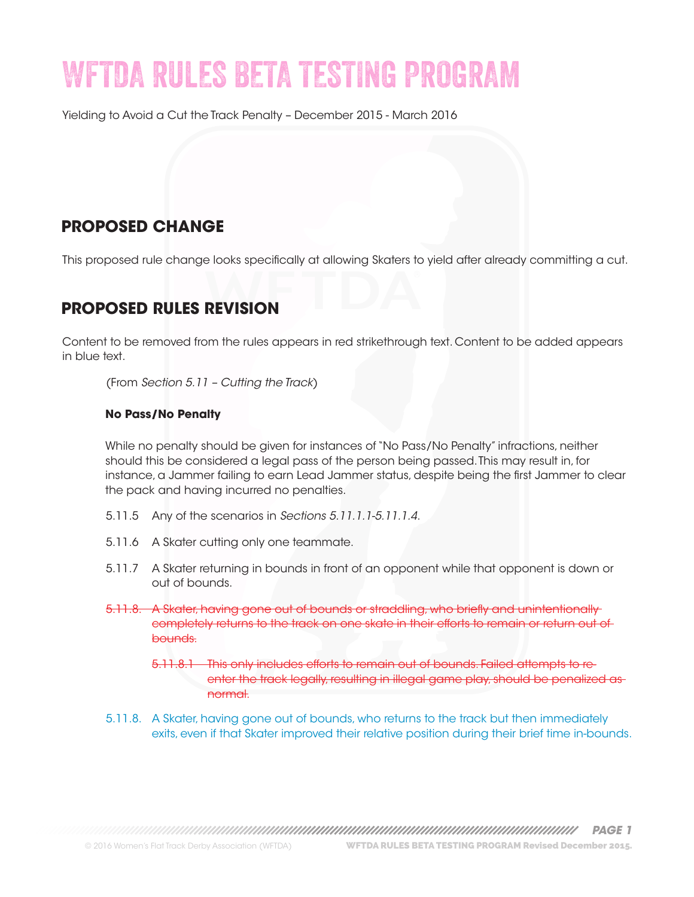# WFTDA RULES BETA TESTING PROGRAM

Yielding to Avoid a Cut the Track Penalty – December 2015 - March 2016

## **PROPOSED CHANGE**

This proposed rule change looks specifically at allowing Skaters to yield after already committing a cut.

#### **PROPOSED RULES REVISION**

Content to be removed from the rules appears in red strikethrough text. Content to be added appears in blue text.

(From *Section 5.11 – Cutting the Track*)

#### **No Pass/No Penalty**

While no penalty should be given for instances of "No Pass/No Penalty" infractions, neither should this be considered a legal pass of the person being passed. This may result in, for instance, a Jammer failing to earn Lead Jammer status, despite being the first Jammer to clear the pack and having incurred no penalties.

- 5.11.5 Any of the scenarios in *Sections 5.11.1.1-5.11.1.4*.
- 5.11.6 A Skater cutting only one teammate.
- 5.11.7 A Skater returning in bounds in front of an opponent while that opponent is down or out of bounds.
- 5.11.8. A Skater, having gone out of bounds or straddling, who briefly and unintentionally completely returns to the track on one skate in their efforts to remain or return out of bounds.
	- 5.11.8.1 This only includes efforts to remain out of bounds. Failed attempts to reenter the track legally, resulting in illegal game play, should be penalized as normal.
- 5.11.8. A Skater, having gone out of bounds, who returns to the track but then immediately exits, even if that Skater improved their relative position during their brief time in-bounds.